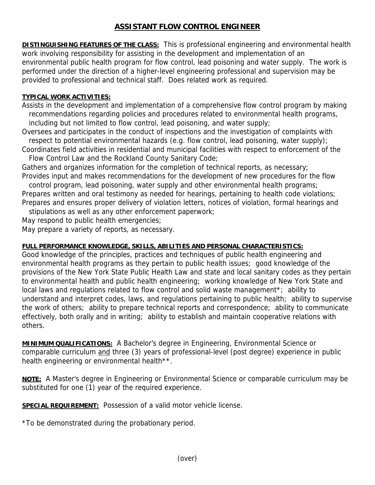## **ASSISTANT FLOW CONTROL ENGINEER**

**DISTINGUISHING FEATURES OF THE CLASS:** This is professional engineering and environmental health work involving responsibility for assisting in the development and implementation of an environmental public health program for flow control, lead poisoning and water supply. The work is performed under the direction of a higher-level engineering professional and supervision may be provided to professional and technical staff. Does related work as required.

## **TYPICAL WORK ACTIVITIES:**

Assists in the development and implementation of a comprehensive flow control program by making recommendations regarding policies and procedures related to environmental health programs, including but not limited to flow control, lead poisoning, and water supply;

Oversees and participates in the conduct of inspections and the investigation of complaints with respect to potential environmental hazards (e.g. flow control, lead poisoning, water supply);

Coordinates field activities in residential and municipal facilities with respect to enforcement of the Flow Control Law and the Rockland County Sanitary Code;

Gathers and organizes information for the completion of technical reports, as necessary; Provides input and makes recommendations for the development of new procedures for the flow

 control program, lead poisoning, water supply and other environmental health programs; Prepares written and oral testimony as needed for hearings, pertaining to health code violations; Prepares and ensures proper delivery of violation letters, notices of violation, formal hearings and

stipulations as well as any other enforcement paperwork;

May respond to public health emergencies;

May prepare a variety of reports, as necessary.

## **FULL PERFORMANCE KNOWLEDGE, SKILLS, ABILITIES AND PERSONAL CHARACTERISTICS:**

Good knowledge of the principles, practices and techniques of public health engineering and environmental health programs as they pertain to public health issues; good knowledge of the provisions of the New York State Public Health Law and state and local sanitary codes as they pertain to environmental health and public health engineering; working knowledge of New York State and local laws and regulations related to flow control and solid waste management\*; ability to understand and interpret codes, laws, and regulations pertaining to public health; ability to supervise the work of others; ability to prepare technical reports and correspondence; ability to communicate effectively, both orally and in writing; ability to establish and maintain cooperative relations with others.

**MINIMUM QUALIFICATIONS:** A Bachelor's degree in Engineering, Environmental Science or comparable curriculum and three (3) years of professional-level (post degree) experience in public health engineering or environmental health\*\*.

**NOTE:** A Master's degree in Engineering or Environmental Science or comparable curriculum may be substituted for one (1) year of the required experience.

**SPECIAL REQUIREMENT:** Possession of a valid motor vehicle license.

\*To be demonstrated during the probationary period.